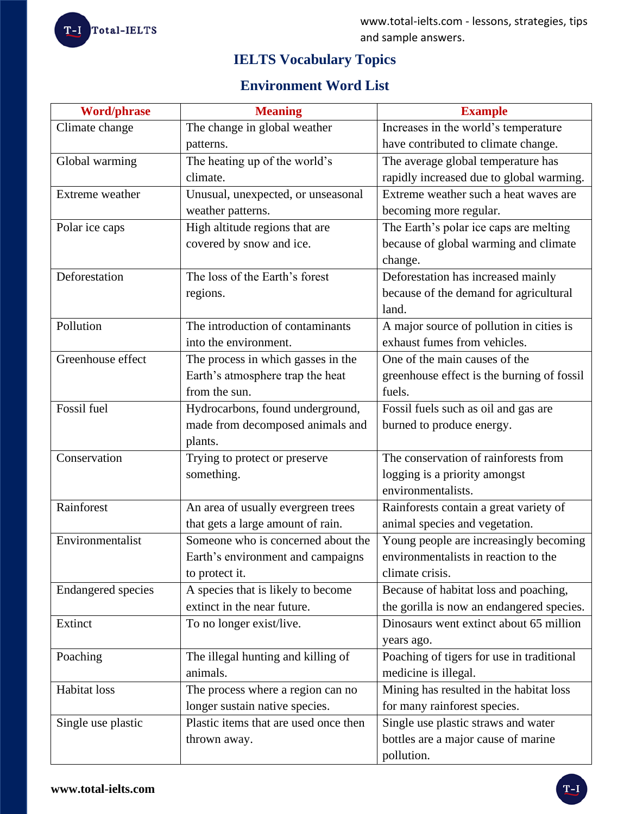# **IELTS Vocabulary Topics**

# **Environment Word List**

| <b>Word/phrase</b>        | <b>Meaning</b>                        | <b>Example</b>                             |
|---------------------------|---------------------------------------|--------------------------------------------|
| Climate change            | The change in global weather          | Increases in the world's temperature       |
|                           | patterns.                             | have contributed to climate change.        |
| Global warming            | The heating up of the world's         | The average global temperature has         |
|                           | climate.                              | rapidly increased due to global warming.   |
| Extreme weather           | Unusual, unexpected, or unseasonal    | Extreme weather such a heat waves are      |
|                           | weather patterns.                     | becoming more regular.                     |
| Polar ice caps            | High altitude regions that are        | The Earth's polar ice caps are melting     |
|                           | covered by snow and ice.              | because of global warming and climate      |
|                           |                                       | change.                                    |
| Deforestation             | The loss of the Earth's forest        | Deforestation has increased mainly         |
|                           | regions.                              | because of the demand for agricultural     |
|                           |                                       | land.                                      |
| Pollution                 | The introduction of contaminants      | A major source of pollution in cities is   |
|                           | into the environment.                 | exhaust fumes from vehicles.               |
| Greenhouse effect         | The process in which gasses in the    | One of the main causes of the              |
|                           | Earth's atmosphere trap the heat      | greenhouse effect is the burning of fossil |
|                           | from the sun.                         | fuels.                                     |
| Fossil fuel               | Hydrocarbons, found underground,      | Fossil fuels such as oil and gas are       |
|                           | made from decomposed animals and      | burned to produce energy.                  |
|                           | plants.                               |                                            |
| Conservation              | Trying to protect or preserve         | The conservation of rainforests from       |
|                           | something.                            | logging is a priority amongst              |
|                           |                                       | environmentalists.                         |
| Rainforest                | An area of usually evergreen trees    | Rainforests contain a great variety of     |
|                           | that gets a large amount of rain.     | animal species and vegetation.             |
| Environmentalist          | Someone who is concerned about the    | Young people are increasingly becoming     |
|                           | Earth's environment and campaigns     | environmentalists in reaction to the       |
|                           | to protect it.                        | climate crisis.                            |
| <b>Endangered species</b> | A species that is likely to become    | Because of habitat loss and poaching,      |
|                           | extinct in the near future.           | the gorilla is now an endangered species.  |
| Extinct                   | To no longer exist/live.              | Dinosaurs went extinct about 65 million    |
|                           |                                       | years ago.                                 |
| Poaching                  | The illegal hunting and killing of    | Poaching of tigers for use in traditional  |
|                           | animals.                              | medicine is illegal.                       |
| Habitat loss              | The process where a region can no     | Mining has resulted in the habitat loss    |
|                           | longer sustain native species.        | for many rainforest species.               |
| Single use plastic        | Plastic items that are used once then | Single use plastic straws and water        |
|                           | thrown away.                          | bottles are a major cause of marine        |
|                           |                                       | pollution.                                 |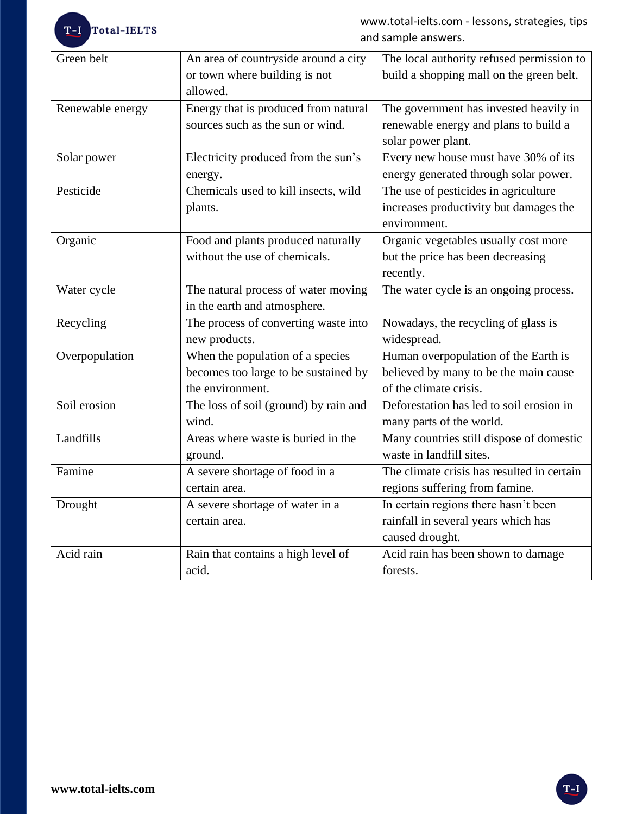T-I Total-IELTS

www.total-ielts.com - lessons, strategies, tips and sample answers.

| Green belt       | An area of countryside around a city  | The local authority refused permission to  |
|------------------|---------------------------------------|--------------------------------------------|
|                  | or town where building is not         | build a shopping mall on the green belt.   |
|                  | allowed.                              |                                            |
| Renewable energy | Energy that is produced from natural  | The government has invested heavily in     |
|                  | sources such as the sun or wind.      | renewable energy and plans to build a      |
|                  |                                       | solar power plant.                         |
| Solar power      | Electricity produced from the sun's   | Every new house must have 30% of its       |
|                  | energy.                               | energy generated through solar power.      |
| Pesticide        | Chemicals used to kill insects, wild  | The use of pesticides in agriculture       |
|                  | plants.                               | increases productivity but damages the     |
|                  |                                       | environment.                               |
| Organic          | Food and plants produced naturally    | Organic vegetables usually cost more       |
|                  | without the use of chemicals.         | but the price has been decreasing          |
|                  |                                       | recently.                                  |
| Water cycle      | The natural process of water moving   | The water cycle is an ongoing process.     |
|                  | in the earth and atmosphere.          |                                            |
| Recycling        | The process of converting waste into  | Nowadays, the recycling of glass is        |
|                  | new products.                         | widespread.                                |
| Overpopulation   | When the population of a species      | Human overpopulation of the Earth is       |
|                  | becomes too large to be sustained by  | believed by many to be the main cause      |
|                  | the environment.                      | of the climate crisis.                     |
| Soil erosion     | The loss of soil (ground) by rain and | Deforestation has led to soil erosion in   |
|                  | wind.                                 | many parts of the world.                   |
| Landfills        | Areas where waste is buried in the    | Many countries still dispose of domestic   |
|                  | ground.                               | waste in landfill sites.                   |
| Famine           | A severe shortage of food in a        | The climate crisis has resulted in certain |
|                  | certain area.                         | regions suffering from famine.             |
| Drought          | A severe shortage of water in a       | In certain regions there hasn't been       |
|                  | certain area.                         | rainfall in several years which has        |
|                  |                                       | caused drought.                            |
| Acid rain        | Rain that contains a high level of    | Acid rain has been shown to damage         |
|                  | acid.                                 | forests.                                   |